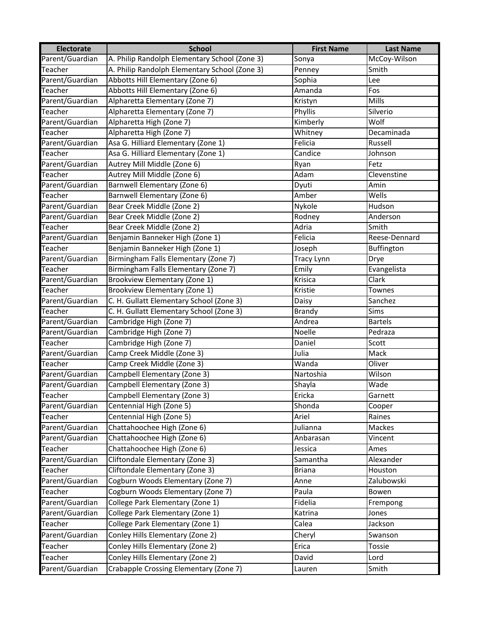| <b>Electorate</b> | <b>School</b>                                 | <b>First Name</b> | <b>Last Name</b> |
|-------------------|-----------------------------------------------|-------------------|------------------|
| Parent/Guardian   | A. Philip Randolph Elementary School (Zone 3) | Sonya             | McCoy-Wilson     |
| Teacher           | A. Philip Randolph Elementary School (Zone 3) | Penney            | Smith            |
| Parent/Guardian   | Abbotts Hill Elementary (Zone 6)              | Sophia            | Lee              |
| Teacher           | Abbotts Hill Elementary (Zone 6)              | Amanda            | Fos              |
| Parent/Guardian   | Alpharetta Elementary (Zone 7)                | Kristyn           | <b>Mills</b>     |
| Teacher           | Alpharetta Elementary (Zone 7)                | <b>Phyllis</b>    | Silverio         |
| Parent/Guardian   | Alpharetta High (Zone 7)                      | Kimberly          | Wolf             |
| Teacher           | Alpharetta High (Zone 7)                      | Whitney           | Decaminada       |
| Parent/Guardian   | Asa G. Hilliard Elementary (Zone 1)           | Felicia           | Russell          |
| Teacher           | Asa G. Hilliard Elementary (Zone 1)           | Candice           | Johnson          |
| Parent/Guardian   | Autrey Mill Middle (Zone 6)                   | Ryan              | Fetz             |
| Teacher           | Autrey Mill Middle (Zone 6)                   | Adam              | Clevenstine      |
| Parent/Guardian   | Barnwell Elementary (Zone 6)                  | Dyuti             | Amin             |
| Teacher           | Barnwell Elementary (Zone 6)                  | Amber             | Wells            |
| Parent/Guardian   | Bear Creek Middle (Zone 2)                    | Nykole            | Hudson           |
| Parent/Guardian   | Bear Creek Middle (Zone 2)                    | Rodney            | Anderson         |
| Teacher           | Bear Creek Middle (Zone 2)                    | Adria             | Smith            |
| Parent/Guardian   | Benjamin Banneker High (Zone 1)               | Felicia           | Reese-Dennard    |
| Teacher           | Benjamin Banneker High (Zone 1)               | Joseph            | Buffington       |
| Parent/Guardian   | Birmingham Falls Elementary (Zone 7)          | <b>Tracy Lynn</b> | Drye             |
| Teacher           | Birmingham Falls Elementary (Zone 7)          | Emily             | Evangelista      |
| Parent/Guardian   | Brookview Elementary (Zone 1)                 | Krisica           | Clark            |
| Teacher           | Brookview Elementary (Zone 1)                 | Kristie           | Townes           |
| Parent/Guardian   | C. H. Gullatt Elementary School (Zone 3)      | Daisy             | Sanchez          |
| Teacher           | C. H. Gullatt Elementary School (Zone 3)      | Brandy            | <b>Sims</b>      |
| Parent/Guardian   | Cambridge High (Zone 7)                       | Andrea            | <b>Bartels</b>   |
| Parent/Guardian   | Cambridge High (Zone 7)                       | Noelle            | Pedraza          |
| Teacher           | Cambridge High (Zone 7)                       | Daniel            | Scott            |
| Parent/Guardian   | Camp Creek Middle (Zone 3)                    | Julia             | Mack             |
| Teacher           | Camp Creek Middle (Zone 3)                    | Wanda             | Oliver           |
| Parent/Guardian   | Campbell Elementary (Zone 3)                  | Nartoshia         | Wilson           |
| Parent/Guardian   | Campbell Elementary (Zone 3)                  | Shayla            | Wade             |
| Teacher           | Campbell Elementary (Zone 3)                  | Ericka            | Garnett          |
| Parent/Guardian   | Centennial High (Zone 5)                      | Shonda            | Cooper           |
| Teacher           | Centennial High (Zone 5)                      | Ariel             | Raines           |
| Parent/Guardian   | Chattahoochee High (Zone 6)                   | Julianna          | Mackes           |
| Parent/Guardian   | Chattahoochee High (Zone 6)                   | Anbarasan         | Vincent          |
| Teacher           | Chattahoochee High (Zone 6)                   | Jessica           | Ames             |
| Parent/Guardian   | Cliftondale Elementary (Zone 3)               | Samantha          | Alexander        |
| <b>Teacher</b>    | Cliftondale Elementary (Zone 3)               | <b>Briana</b>     | Houston          |
| Parent/Guardian   | Cogburn Woods Elementary (Zone 7)             | Anne              | Zalubowski       |
| Teacher           | Cogburn Woods Elementary (Zone 7)             | Paula             | Bowen            |
| Parent/Guardian   | College Park Elementary (Zone 1)              | Fidelia           | Frempong         |
| Parent/Guardian   | College Park Elementary (Zone 1)              | Katrina           | Jones            |
| Teacher           | College Park Elementary (Zone 1)              | Calea             | Jackson          |
| Parent/Guardian   | Conley Hills Elementary (Zone 2)              | Cheryl            | Swanson          |
| Teacher           | Conley Hills Elementary (Zone 2)              | Erica             | Tossie           |
| Teacher           | Conley Hills Elementary (Zone 2)              | David             | Lord             |
| Parent/Guardian   | Crabapple Crossing Elementary (Zone 7)        | Lauren            | Smith            |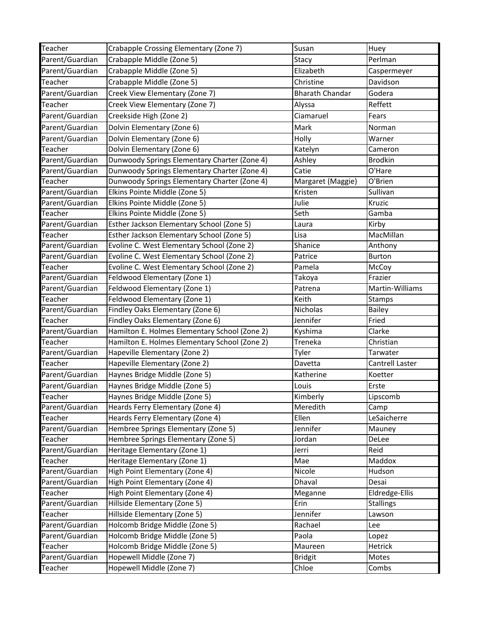| Teacher         | Crabapple Crossing Elementary (Zone 7)        | Susan                  | Huey             |
|-----------------|-----------------------------------------------|------------------------|------------------|
| Parent/Guardian | Crabapple Middle (Zone 5)                     | Stacy                  | Perlman          |
| Parent/Guardian | Crabapple Middle (Zone 5)                     | Elizabeth              | Caspermeyer      |
| Teacher         | Crabapple Middle (Zone 5)                     | Christine              | Davidson         |
| Parent/Guardian | Creek View Elementary (Zone 7)                | <b>Bharath Chandar</b> | Godera           |
| Teacher         | Creek View Elementary (Zone 7)                | Alyssa                 | Reffett          |
| Parent/Guardian | Creekside High (Zone 2)                       | Ciamaruel              | Fears            |
| Parent/Guardian | Dolvin Elementary (Zone 6)                    | Mark                   | Norman           |
| Parent/Guardian | Dolvin Elementary (Zone 6)                    | Holly                  | Warner           |
| Teacher         | Dolvin Elementary (Zone 6)                    | Katelyn                | Cameron          |
| Parent/Guardian | Dunwoody Springs Elementary Charter (Zone 4)  | Ashley                 | <b>Brodkin</b>   |
| Parent/Guardian | Dunwoody Springs Elementary Charter (Zone 4)  | Catie                  | O'Hare           |
| Teacher         | Dunwoody Springs Elementary Charter (Zone 4)  | Margaret (Maggie)      | O'Brien          |
| Parent/Guardian | Elkins Pointe Middle (Zone 5)                 | Kristen                | Sullivan         |
| Parent/Guardian | Elkins Pointe Middle (Zone 5)                 | Julie                  | Kruzic           |
| Teacher         | Elkins Pointe Middle (Zone 5)                 | Seth                   | Gamba            |
| Parent/Guardian | Esther Jackson Elementary School (Zone 5)     | Laura                  | Kirby            |
| Teacher         | Esther Jackson Elementary School (Zone 5)     | Lisa                   | MacMillan        |
| Parent/Guardian | Evoline C. West Elementary School (Zone 2)    | Shanice                | Anthony          |
| Parent/Guardian | Evoline C. West Elementary School (Zone 2)    | Patrice                | <b>Burton</b>    |
| Teacher         | Evoline C. West Elementary School (Zone 2)    | Pamela                 | McCoy            |
| Parent/Guardian | Feldwood Elementary (Zone 1)                  | Takoya                 | Frazier          |
| Parent/Guardian | Feldwood Elementary (Zone 1)                  | Patrena                | Martin-Williams  |
| Teacher         | Feldwood Elementary (Zone 1)                  | Keith                  | Stamps           |
| Parent/Guardian | Findley Oaks Elementary (Zone 6)              | Nicholas               | <b>Bailey</b>    |
| Teacher         | Findley Oaks Elementary (Zone 6)              | Jennifer               | Fried            |
| Parent/Guardian | Hamilton E. Holmes Elementary School (Zone 2) | Kyshima                | Clarke           |
| Teacher         | Hamilton E. Holmes Elementary School (Zone 2) | Treneka                | Christian        |
| Parent/Guardian | Hapeville Elementary (Zone 2)                 | Tyler                  | Tarwater         |
| Teacher         | Hapeville Elementary (Zone 2)                 | Davetta                | Cantrell Laster  |
| Parent/Guardian | Haynes Bridge Middle (Zone 5)                 | Katherine              | Koetter          |
| Parent/Guardian | Haynes Bridge Middle (Zone 5)                 | Louis                  | Erste            |
| Teacher         | Haynes Bridge Middle (Zone 5)                 | Kimberly               | Lipscomb         |
| Parent/Guardian | Heards Ferry Elementary (Zone 4)              | Meredith               | Camp             |
| Teacher         | Heards Ferry Elementary (Zone 4)              | Ellen                  | LeSaicherre      |
| Parent/Guardian | Hembree Springs Elementary (Zone 5)           | Jennifer               | Mauney           |
| Teacher         | Hembree Springs Elementary (Zone 5)           | Jordan                 | DeLee            |
| Parent/Guardian | Heritage Elementary (Zone 1)                  | Jerri                  | Reid             |
| Teacher         | Heritage Elementary (Zone 1)                  | Mae                    | Maddox           |
| Parent/Guardian | High Point Elementary (Zone 4)                | Nicole                 | Hudson           |
| Parent/Guardian | High Point Elementary (Zone 4)                | Dhaval                 | Desai            |
| Teacher         | High Point Elementary (Zone 4)                | Meganne                | Eldredge-Ellis   |
| Parent/Guardian | Hillside Elementary (Zone 5)                  | Erin                   | <b>Stallings</b> |
| Teacher         | Hillside Elementary (Zone 5)                  | Jennifer               | Lawson           |
| Parent/Guardian | Holcomb Bridge Middle (Zone 5)                | Rachael                | Lee              |
| Parent/Guardian | Holcomb Bridge Middle (Zone 5)                | Paola                  | Lopez            |
| Teacher         | Holcomb Bridge Middle (Zone 5)                | Maureen                | Hetrick          |
| Parent/Guardian | Hopewell Middle (Zone 7)                      | <b>Bridgit</b>         | Motes            |
| Teacher         | Hopewell Middle (Zone 7)                      | Chloe                  | Combs            |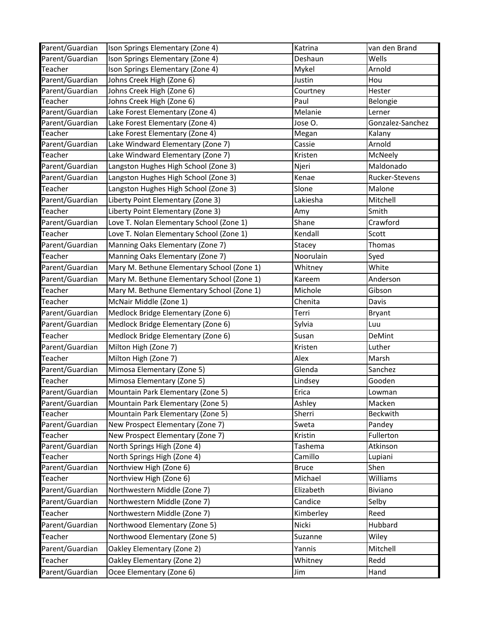| Parent/Guardian | Ison Springs Elementary (Zone 4)           | Katrina      | van den Brand    |
|-----------------|--------------------------------------------|--------------|------------------|
| Parent/Guardian | Ison Springs Elementary (Zone 4)           | Deshaun      | Wells            |
| Teacher         | Ison Springs Elementary (Zone 4)           | Mykel        | Arnold           |
| Parent/Guardian | Johns Creek High (Zone 6)                  | Justin       | Hou              |
| Parent/Guardian | Johns Creek High (Zone 6)                  | Courtney     | Hester           |
| Teacher         | Johns Creek High (Zone 6)                  | Paul         | Belongie         |
| Parent/Guardian | Lake Forest Elementary (Zone 4)            | Melanie      | Lerner           |
| Parent/Guardian | Lake Forest Elementary (Zone 4)            | Jose O.      | Gonzalez-Sanchez |
| <b>Teacher</b>  | Lake Forest Elementary (Zone 4)            | Megan        | Kalany           |
| Parent/Guardian | Lake Windward Elementary (Zone 7)          | Cassie       | Arnold           |
| Teacher         | Lake Windward Elementary (Zone 7)          | Kristen      | McNeely          |
| Parent/Guardian | Langston Hughes High School (Zone 3)       | Njeri        | Maldonado        |
| Parent/Guardian | Langston Hughes High School (Zone 3)       | Kenae        | Rucker-Stevens   |
| Teacher         | Langston Hughes High School (Zone 3)       | Slone        | Malone           |
| Parent/Guardian | Liberty Point Elementary (Zone 3)          | Lakiesha     | Mitchell         |
| Teacher         | Liberty Point Elementary (Zone 3)          | Amy          | Smith            |
| Parent/Guardian | Love T. Nolan Elementary School (Zone 1)   | Shane        | Crawford         |
| Teacher         | Love T. Nolan Elementary School (Zone 1)   | Kendall      | Scott            |
| Parent/Guardian | Manning Oaks Elementary (Zone 7)           | Stacey       | Thomas           |
| Teacher         | Manning Oaks Elementary (Zone 7)           | Noorulain    | Syed             |
| Parent/Guardian | Mary M. Bethune Elementary School (Zone 1) | Whitney      | White            |
| Parent/Guardian | Mary M. Bethune Elementary School (Zone 1) | Kareem       | Anderson         |
| Teacher         | Mary M. Bethune Elementary School (Zone 1) | Michole      | Gibson           |
| Teacher         | McNair Middle (Zone 1)                     | Chenita      | Davis            |
| Parent/Guardian | Medlock Bridge Elementary (Zone 6)         | Terri        | Bryant           |
| Parent/Guardian | Medlock Bridge Elementary (Zone 6)         | Sylvia       | Luu              |
| Teacher         | Medlock Bridge Elementary (Zone 6)         | Susan        | DeMint           |
| Parent/Guardian | Milton High (Zone 7)                       | Kristen      | Luther           |
| Teacher         |                                            |              | Marsh            |
|                 | Milton High (Zone 7)                       | Alex         |                  |
| Parent/Guardian | Mimosa Elementary (Zone 5)                 | Glenda       | Sanchez          |
| Teacher         | Mimosa Elementary (Zone 5)                 | Lindsey      | Gooden           |
| Parent/Guardian | Mountain Park Elementary (Zone 5)          | Erica        | Lowman           |
| Parent/Guardian | Mountain Park Elementary (Zone 5)          | Ashley       | Macken           |
| Teacher         | Mountain Park Elementary (Zone 5)          | Sherri       | <b>Beckwith</b>  |
| Parent/Guardian | New Prospect Elementary (Zone 7)           | Sweta        | Pandey           |
| Teacher         | New Prospect Elementary (Zone 7)           | Kristin      | Fullerton        |
| Parent/Guardian | North Springs High (Zone 4)                | Tashema      | Atkinson         |
| Teacher         | North Springs High (Zone 4)                | Camillo      | Lupiani          |
| Parent/Guardian | Northview High (Zone 6)                    | <b>Bruce</b> | Shen             |
| Teacher         | Northview High (Zone 6)                    | Michael      | Williams         |
| Parent/Guardian | Northwestern Middle (Zone 7)               | Elizabeth    | Biviano          |
| Parent/Guardian | Northwestern Middle (Zone 7)               | Candice      | Selby            |
| Teacher         | Northwestern Middle (Zone 7)               | Kimberley    | Reed             |
| Parent/Guardian | Northwood Elementary (Zone 5)              | Nicki        | Hubbard          |
| Teacher         | Northwood Elementary (Zone 5)              | Suzanne      | Wiley            |
| Parent/Guardian | Oakley Elementary (Zone 2)                 | Yannis       | Mitchell         |
| Teacher         | Oakley Elementary (Zone 2)                 | Whitney      | Redd             |
| Parent/Guardian | Ocee Elementary (Zone 6)                   | Jim          | Hand             |
|                 |                                            |              |                  |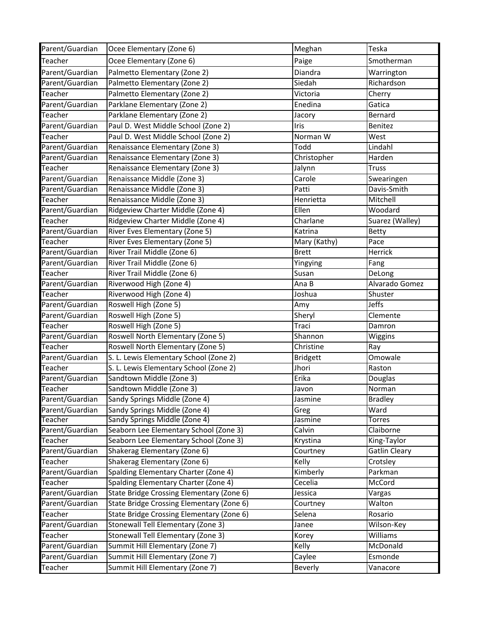| Parent/Guardian | Ocee Elementary (Zone 6)                  | Meghan          | Teska                |
|-----------------|-------------------------------------------|-----------------|----------------------|
| Teacher         | Ocee Elementary (Zone 6)                  | Paige           | Smotherman           |
| Parent/Guardian | Palmetto Elementary (Zone 2)              | Diandra         | Warrington           |
| Parent/Guardian | Palmetto Elementary (Zone 2)              | Siedah          | Richardson           |
| Teacher         | Palmetto Elementary (Zone 2)              | Victoria        | Cherry               |
| Parent/Guardian | Parklane Elementary (Zone 2)              | Enedina         | Gatica               |
| Teacher         | Parklane Elementary (Zone 2)              | Jacory          | Bernard              |
| Parent/Guardian | Paul D. West Middle School (Zone 2)       | Iris            | Benitez              |
| Teacher         | Paul D. West Middle School (Zone 2)       | Norman W        | West                 |
| Parent/Guardian | Renaissance Elementary (Zone 3)           | Todd            | Lindahl              |
| Parent/Guardian | Renaissance Elementary (Zone 3)           | Christopher     | Harden               |
| Teacher         | Renaissance Elementary (Zone 3)           | Jalynn          | <b>Truss</b>         |
| Parent/Guardian | Renaissance Middle (Zone 3)               | Carole          | Swearingen           |
| Parent/Guardian | Renaissance Middle (Zone 3)               | Patti           | Davis-Smith          |
| Teacher         | Renaissance Middle (Zone 3)               | Henrietta       | Mitchell             |
| Parent/Guardian | Ridgeview Charter Middle (Zone 4)         | Ellen           | Woodard              |
| Teacher         | Ridgeview Charter Middle (Zone 4)         | Charlane        | Suarez (Walley)      |
| Parent/Guardian | River Eves Elementary (Zone 5)            | Katrina         | Betty                |
| Teacher         | River Eves Elementary (Zone 5)            | Mary (Kathy)    | Pace                 |
| Parent/Guardian | River Trail Middle (Zone 6)               | <b>Brett</b>    | Herrick              |
| Parent/Guardian | River Trail Middle (Zone 6)               | Yingying        | Fang                 |
| Teacher         | River Trail Middle (Zone 6)               | Susan           | DeLong               |
| Parent/Guardian | Riverwood High (Zone 4)                   | Ana B           | Alvarado Gomez       |
| Teacher         | Riverwood High (Zone 4)                   | Joshua          | Shuster              |
| Parent/Guardian | Roswell High (Zone 5)                     | Amy             | <b>Jeffs</b>         |
| Parent/Guardian | Roswell High (Zone 5)                     | Sheryl          | Clemente             |
| Teacher         | Roswell High (Zone 5)                     | Traci           | Damron               |
| Parent/Guardian | Roswell North Elementary (Zone 5)         | Shannon         | Wiggins              |
| Teacher         | Roswell North Elementary (Zone 5)         | Christine       | Ray                  |
| Parent/Guardian | S. L. Lewis Elementary School (Zone 2)    | <b>Bridgett</b> | Omowale              |
| Teacher         | S. L. Lewis Elementary School (Zone 2)    | Jhori           | Raston               |
| Parent/Guardian | Sandtown Middle (Zone 3)                  | Erika           | Douglas              |
| Teacher         | Sandtown Middle (Zone 3)                  | Javon           | Norman               |
| Parent/Guardian | Sandy Springs Middle (Zone 4)             | Jasmine         | <b>Bradley</b>       |
| Parent/Guardian | Sandy Springs Middle (Zone 4)             | Greg            | Ward                 |
| Teacher         | Sandy Springs Middle (Zone 4)             | Jasmine         | <b>Torres</b>        |
| Parent/Guardian | Seaborn Lee Elementary School (Zone 3)    | Calvin          | Claiborne            |
| Teacher         | Seaborn Lee Elementary School (Zone 3)    | Krystina        | King-Taylor          |
| Parent/Guardian | Shakerag Elementary (Zone 6)              | Courtney        | <b>Gatlin Cleary</b> |
| Teacher         | Shakerag Elementary (Zone 6)              | Kelly           | Crotsley             |
| Parent/Guardian | Spalding Elementary Charter (Zone 4)      | Kimberly        | Parkman              |
| Teacher         | Spalding Elementary Charter (Zone 4)      | Cecelia         | McCord               |
| Parent/Guardian | State Bridge Crossing Elementary (Zone 6) | Jessica         | Vargas               |
| Parent/Guardian | State Bridge Crossing Elementary (Zone 6) | Courtney        | Walton               |
| Teacher         | State Bridge Crossing Elementary (Zone 6) | Selena          | Rosario              |
| Parent/Guardian | Stonewall Tell Elementary (Zone 3)        | Janee           | Wilson-Key           |
| Teacher         | Stonewall Tell Elementary (Zone 3)        | Korey           | Williams             |
| Parent/Guardian | Summit Hill Elementary (Zone 7)           | Kelly           | McDonald             |
| Parent/Guardian | Summit Hill Elementary (Zone 7)           | Caylee          | Esmonde              |
| Teacher         | Summit Hill Elementary (Zone 7)           | Beverly         | Vanacore             |